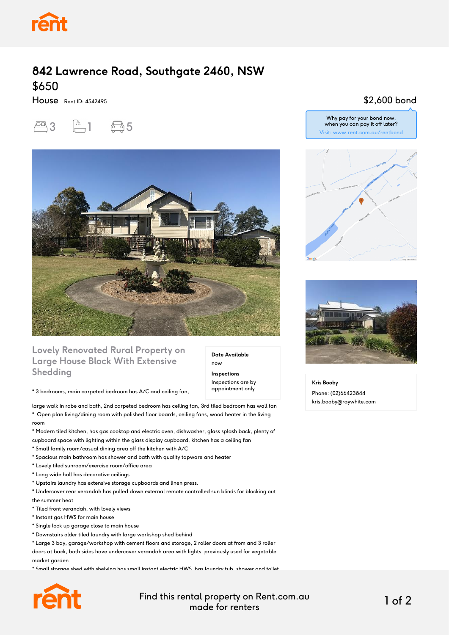

## **842 Lawrence Road, Southgate 2460, NSW** \$650

House Rent ID: 4542495





### **Lovely Renovated Rural Property on Large House Block With Extensive Shedding**

\* 3 bedrooms, main carpeted bedroom has A/C and ceiling fan,

large walk in robe and bath, 2nd carpeted bedroom has ceiling fan, 3rd tiled bedroom has wall fan \* Open plan living/dining room with polished floor boards, ceiling fans, wood heater in the living room

\* Modern tiled kitchen, has gas cooktop and electric oven, dishwasher, glass splash back, plenty of cupboard space with lighting within the glass display cupboard, kitchen has a ceiling fan

- \* Small family room/casual dining area off the kitchen with A/C
- \* Spacious main bathroom has shower and bath with quality tapware and heater
- \* Lovely tiled sunroom/exercise room/office area
- \* Long wide hall has decorative ceilings
- \* Upstairs laundry has extensive storage cupboards and linen press.

\* Undercover rear verandah has pulled down external remote controlled sun blinds for blocking out the summer heat

- \* Tiled front verandah, with lovely views
- \* Instant gas HWS for main house
- \* Single lock up garage close to main house
- \* Downstairs older tiled laundry with large workshop shed behind

\* Large 3 bay, garage/workshop with cement floors and storage, 2 roller doors at from and 3 roller doors at back, both sides have undercover verandah area with lights, previously used for vegetable market garden

\* Small storage shed with shelving has small instant electric HWS, has laundry tub, shower and toilet



Find this rental property on Rent.com.au made for renters 1 of 2

**Date Available**

now **Inspections** Inspections are by appointment only

#### \$2,600 bond







**Kris Booby** Phone: (02)66423844 kris.booby@raywhite.com